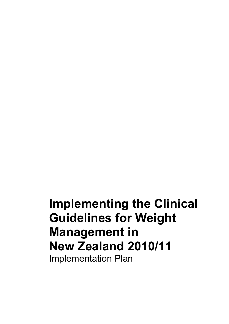**Implementing the Clinical Guidelines for Weight Management in New Zealand 2010/11**  Implementation Plan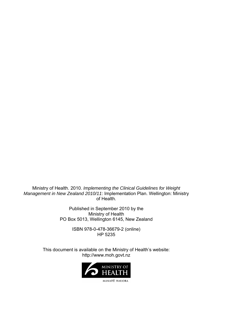Ministry of Health. 2010. *Implementing the Clinical Guidelines for Weight Management in New Zealand 2010/11*: Implementation Plan. Wellington: Ministry of Health.

> Published in September 2010 by the Ministry of Health PO Box 5013, Wellington 6145, New Zealand

> > ISBN 978-0-478-36679-2 (online) HP 5235

This document is available on the Ministry of Health's website: http://www.moh.govt.nz



MANATŪ HAUORA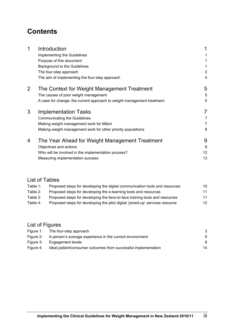# **Contents**

| 1              | Introduction                                                           | $\mathbf 1$    |
|----------------|------------------------------------------------------------------------|----------------|
|                | Implementing the Guidelines                                            |                |
|                | Purpose of this document                                               |                |
|                | Background to the Guidelines                                           |                |
|                | The four-step approach                                                 | $\overline{2}$ |
|                | The aim of implementing the four-step approach                         | 4              |
| $\overline{2}$ | The Context for Weight Management Treatment                            | 5              |
|                | The causes of poor weight management                                   | 5              |
|                | A case for change: the current approach to weight management treatment | 5              |
| 3              | <b>Implementation Tasks</b>                                            | 7              |
|                | <b>Communicating the Guidelines</b>                                    | 7              |
|                | Making weight management work for Māori                                | 7              |
|                | Making weight management work for other priority populations           | 8              |
| 4              | The Year Ahead for Weight Management Treatment                         | 9              |
|                | Objectives and actions                                                 | 9              |
|                | Who will be involved in the implementation process?                    | 12             |
|                | Measuring implementation success                                       | 13             |

## List of Tables

| Table 1: | Proposed steps for developing the digital communication tools and resources   | 10 |
|----------|-------------------------------------------------------------------------------|----|
| Table 2: | Proposed steps for developing the e-learning tools and resources              | 11 |
| Table 3: | Proposed steps for developing the face-to-face training tools and resources   | 11 |
| Table 4: | Proposed steps for developing the pilot digital 'joined-up' services resource | 12 |

## List of Figures

|           | Figure 1: The four-step approach                               | З  |
|-----------|----------------------------------------------------------------|----|
| Figure 2: | A person's average experience in the current environment       | 5  |
|           | Figure 3: Engagement levels                                    | 8  |
| Figure 4: | Ideal patient/consumer outcomes from successful implementation | 14 |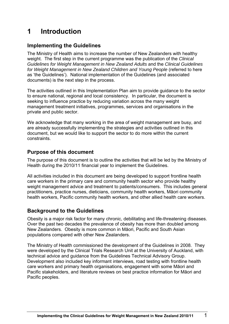# <span id="page-4-0"></span>**1 Introduction**

## <span id="page-4-1"></span>**Implementing the Guidelines**

The Ministry of Health aims to increase the number of New Zealanders with healthy weight. The first step in the current programme was the publication of the *Clinical Guidelines for Weight Management in New Zealand Adults* and the *Clinical Guidelines for Weight Management in New Zealand Children and Young People* (referred to here as 'the Guidelines'). National implementation of the Guidelines (and associated documents) is the next step in the process.

The activities outlined in this Implementation Plan aim to provide guidance to the sector to ensure national, regional and local consistency. In particular, the document is seeking to influence practice by reducing variation across the many weight management treatment initiatives, programmes, services and organisations in the private and public sector.

We acknowledge that many working in the area of weight management are busy, and are already successfully implementing the strategies and activities outlined in this document, but we would like to support the sector to do more within the current constraints.

## <span id="page-4-2"></span>**Purpose of this document**

The purpose of this document is to outline the activities that will be led by the Ministry of Health during the 2010/11 financial year to implement the Guidelines.

All activities included in this document are being developed to support frontline health care workers in the primary care and community health sector who provide healthy weight management advice and treatment to patients/consumers. This includes general practitioners, practice nurses, dieticians, community health workers, Māori community health workers, Pacific community health workers, and other allied health care workers.

## <span id="page-4-3"></span>**Background to the Guidelines**

Obesity is a major risk factor for many chronic, debilitating and life-threatening diseases. Over the past two decades the prevalence of obesity has more than doubled among New Zealanders. Obesity is more common in Māori, Pacific and South Asian populations compared with other New Zealanders.

The Ministry of Health commissioned the development of the Guidelines in 2008. They were developed by the Clinical Trials Research Unit at the University of Auckland, with technical advice and guidance from the Guidelines Technical Advisory Group. Development also included key informant interviews, road testing with frontline health care workers and primary health organisations, engagement with some Māori and Pacific stakeholders, and literature reviews on best practice information for Māori and Pacific peoples.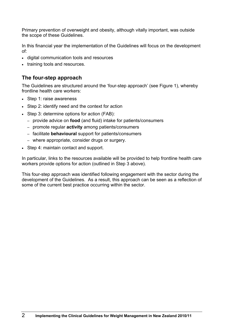Primary prevention of overweight and obesity, although vitally important, was outside the scope of these Guidelines.

In this financial year the implementation of the Guidelines will focus on the development of:

- digital communication tools and resources
- training tools and resources.

## <span id="page-5-0"></span>**The four-step approach**

The Guidelines are structured around the 'four-step approach' (see Figure 1), whereby frontline health care workers:

- Step 1: raise awareness
- Step 2: identify need and the context for action
- Step 3: determine options for action (FAB):
	- provide advice on **food** (and fluid) intake for patients/consumers
	- promote regular **activity** among patients/consumers
	- facilitate **behavioural** support for patients/consumers
	- where appropriate, consider drugs or surgery.
- Step 4: maintain contact and support.

In particular, links to the resources available will be provided to help frontline health care workers provide options for action (outlined in Step 3 above).

This four-step approach was identified following engagement with the sector during the development of the Guidelines. As a result, this approach can be seen as a reflection of some of the current best practice occurring within the sector.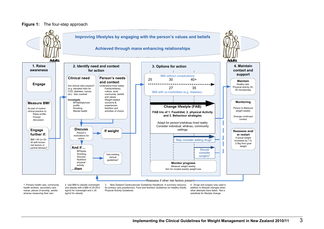#### **Figure 1:** The four-step approach

<span id="page-6-0"></span>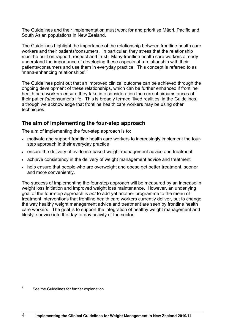T he Guidelines and their implementation must work for and prioritise Māori, Pacific and S outh Asian populations in New Zealand.

T he Guidelines highlight the importance of the relationship between frontline health care workers and their patients/consumers. In particular, they stress that the relationship must be built on rapport, respect and trust. M any frontline health care workers already understand the importance of dev eloping these aspects of a relationship with their patients/consumers and use the[m](#page-7-1) in everyday pr actice. This concept is referred to as .<br>'mana-enhancing relationships'.<sup>[1](#page-7-1)</sup>

T he Guidelines point out that an improved clinical outcome can be achieved through the ongoing development of these relationships, which can be further enhanced if frontline health care workers ensure they take into consideration the current circumstances of their patient's/consumer's life. This is br oadly termed 'lived realities' in the Guidelines, a lthough we acknowledge that frontline health care workers may be using other t echniques.

## <span id="page-7-0"></span>**The aim of implementing the four-step approach**

The aim of implementing the four-step approach is to:

- motivate and support frontline health care workers to increasingly implement the fourstep approach in their everyday practice
- ensure the delivery of evidence-based weight management advice and treatment
- achieve consistency in the delivery of weight management advice and treatment
- help ensure that people who are overweight and obese get better treatment, sooner and more conveniently.

T he success of implementing the four-step approach will be measured by an increase in weight loss initiation and improved weight loss maintenance. However, an underlying goal of the four-step approach is *not* to add yet another programme to the menu of treatment interventions that frontline health care workers currently deliver, but to change the way healthy weight management advice and treatment are seen by frontline health care workers. The goal is to support the integration of healthy weight management and l ifestyle advice into the day-to-day activity of the sector.

<span id="page-7-1"></span><sup>1</sup> See the Guidelines for further explanation.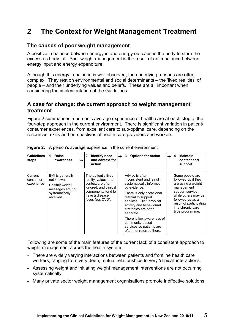## <span id="page-8-0"></span>**2 The Context for Weight Management Treatment**

## <span id="page-8-1"></span>**The causes of poor weight management**

A positive imbalance between energy in and energy out causes the body to store the excess as body fat. Poor weight management is the result of an imbalance between energy input and energy expenditure.

Although this energy imbalance is well observed, the underlying reasons are often complex. They rest on environmental and social determinants – the 'lived realities' of people – and their underlying values and beliefs. These are all important when considering the implementation of the Guidelines.

### <span id="page-8-2"></span>**A case for change: the current approach to weight management treatment**

Figure 2 summarises a person's average experience of health care at each step of the four-step approach in the current environment. There is significant variation in patient/ consumer experiences, from excellent care to sub-optimal care, depending on the resources, skills and perspectives of health care providers and workers.

| <b>Guidelines</b><br>steps        | Raise<br>1<br>awareness                                                                             | $\rightarrow$ | <b>Identify need</b><br>$\mathbf{2}$<br>and context for<br>action                                                                                    | $\rightarrow$ | <b>Options for action</b><br>3                                                                                                                                                                                                                                                                                                                 | $\rightarrow$ | <b>Maintain</b><br>4<br>contact and<br>support                                                                                                                                                              |
|-----------------------------------|-----------------------------------------------------------------------------------------------------|---------------|------------------------------------------------------------------------------------------------------------------------------------------------------|---------------|------------------------------------------------------------------------------------------------------------------------------------------------------------------------------------------------------------------------------------------------------------------------------------------------------------------------------------------------|---------------|-------------------------------------------------------------------------------------------------------------------------------------------------------------------------------------------------------------|
| Current<br>consumer<br>experience | BMI is generally<br>not known.<br>Healthy weight<br>messages are not<br>systematically<br>received. |               | The patient's lived<br>reality, values and<br>context are often<br>ignored, and clinical<br>components tend to<br>have a disease<br>focus (eg, CVD). |               | Advice is often<br>inconsistent and is not<br>systematically informed<br>by evidence.<br>There is only occasional<br>referral to support<br>services. Diet, physical<br>activity and behavioural<br>strategies are often<br>separate.<br>There is low awareness of<br>community-based<br>services so patients are<br>often not referred there. |               | Some people are<br>followed up if they<br>are using a weight<br>management<br>support service<br>while others may be<br>followed up as a<br>result of participating<br>in a chronic care<br>type programme. |

<span id="page-8-3"></span>**Figure 2:** A person's average experience in the current environment

Following are some of the main features of the current lack of a consistent approach to weight management across the health system.

- There are widely varying interactions between patients and frontline health care workers, ranging from very deep, mutual relationships to very 'clinical' interactions.
- Assessing weight and initiating weight management interventions are not occurring systematically.
- Many private sector weight management organisations promote ineffective solutions.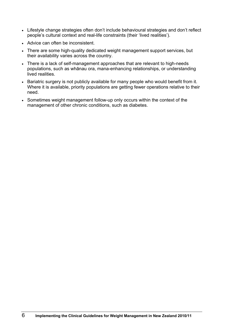- Lifestyle change strategies often don't include behavioural strategies and don't reflect people's cultural context and real-life constraints (their 'lived realities').
- Advice can often be inconsistent.
- There are some high-quality dedicated weight management support services, but their availability varies across the country.
- There is a lack of self-management approaches that are relevant to high-needs populations, such as whānau ora, mana-enhancing relationships, or understanding lived realities.
- Bariatric surgery is not publicly available for many people who would benefit from it. Where it is available, priority populations are getting fewer operations relative to their need.
- Sometimes weight management follow-up only occurs within the context of the management of other chronic conditions, such as diabetes.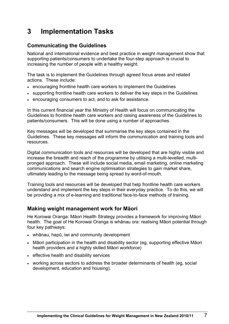# <span id="page-10-0"></span>**3 Implementation Tasks**

## <span id="page-10-1"></span>**Communicating the Guidelines**

National and international evidence and best practice in weight management show that supporting patients/consumers to undertake the four-step approach is crucial to increasing the number of people with a healthy weight.

The task is to implement the Guidelines through agreed focus areas and related actions. These include:

- encouraging frontline health care workers to implement the Guidelines
- supporting frontline health care workers to deliver the key steps in the Guidelines
- encouraging consumers to act, and to ask for assistance.

In this current financial year the Ministry of Health will focus on communicating the Guidelines to frontline health care workers and raising awareness of the Guidelines to patients/consumers. This will be done using a number of approaches.

Key messages will be developed that summarise the key steps contained in the Guidelines. These key messages will inform the communication and training tools and resources.

Digital communication tools and resources will be developed that are highly visible and increase the breadth and reach of the programme by utilising a multi-levelled, multipronged approach. These will include social media, email marketing, online marketing communications and search engine optimisation strategies to gain market share, ultimately leading to the message being spread by word-of-mouth.

Training tools and resources will be developed that help frontline health care workers understand and implement the key steps in their everyday practice. To do this, we will be providing a mix of e-learning and traditional face-to-face methods of training.

## <span id="page-10-2"></span>**Making weight management work for Māori**

He Korowai Oranga: Māori Health Strategy provides a framework for improving Māori health. The goal of He Korowai Oranga is whānau ora: realising Māori potential through four key pathways:

- whānau, hapū, iwi and community development
- Māori participation in the health and disability sector (eg, supporting effective Māori health providers and a highly skilled Māori workforce)
- effective health and disability services
- working across sectors to address the broader determinants of health (eg, social development, education and housing).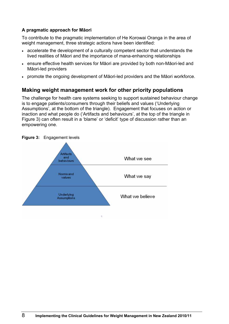### **A pragmatic approach for Māori**

To contribute to the pragmatic implementation of He Korowai Oranga in the area of weight management, three strategic actions have been identified:

- accelerate the development of a culturally competent sector that understands the lived realities of Māori and the importance of mana-enhancing relationships
- ensure effective health services for Māori are provided by both non-Māori-led and Māori-led providers
- promote the ongoing development of Māori-led providers and the Māori workforce.

## <span id="page-11-0"></span>**Making weight management work for other priority populations**

The challenge for health care systems seeking to support sustained behaviour change is to engage patients/consumers through their beliefs and values ('Underlying Assumptions', at the bottom of the triangle). Engagement that focuses on action or inaction and what people do ('Artifacts and behaviours', at the top of the triangle in Figure 3) can often result in a 'blame' or 'deficit' type of discussion rather than an empowering one.



<span id="page-11-1"></span>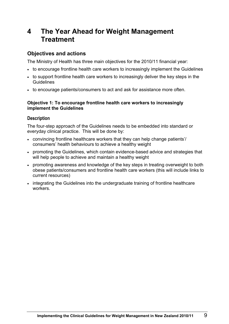## <span id="page-12-0"></span>**4 The Year Ahead for Weight Management Treatment**

## <span id="page-12-1"></span>**Objectives and actions**

The Ministry of Health has three main objectives for the 2010/11 financial year:

- to encourage frontline health care workers to increasingly implement the Guidelines
- to support frontline health care workers to increasingly deliver the key steps in the **Guidelines**
- to encourage patients/consumers to act and ask for assistance more often.

#### **Objective 1: To encourage frontline health care workers to increasingly implement the Guidelines**

### **Description**

The four-step approach of the Guidelines needs to be embedded into standard or everyday clinical practice. This will be done by:

- convincing frontline healthcare workers that they can help change patients'/ consumers' health behaviours to achieve a healthy weight
- promoting the Guidelines, which contain evidence-based advice and strategies that will help people to achieve and maintain a healthy weight
- promoting awareness and knowledge of the key steps in treating overweight to both obese patients/consumers and frontline health care workers (this will include links to current resources)
- integrating the Guidelines into the undergraduate training of frontline healthcare workers.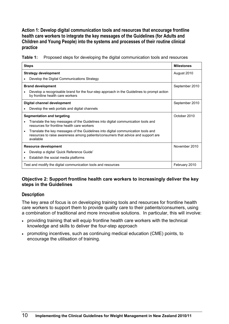**Action 1: Develop digital communication tools and resources that encourage frontline health care workers to integrate the key messages of the Guidelines (for Adults and Children and Young People) into the systems and processes of their routine clinical practice** 

<span id="page-13-0"></span>**Table 1:** Proposed steps for developing the digital communication tools and resources

| <b>Steps</b>                                                                                                                                                                                     | <b>Milestones</b> |
|--------------------------------------------------------------------------------------------------------------------------------------------------------------------------------------------------|-------------------|
| <b>Strategy development</b>                                                                                                                                                                      | August 2010       |
| Develop the Digital Communications Strategy                                                                                                                                                      |                   |
| <b>Brand development</b>                                                                                                                                                                         | September 2010    |
| Develop a recognisable brand for the four-step approach in the Guidelines to prompt action<br>$\bullet$<br>by frontline health care workers                                                      |                   |
| Digital channel development                                                                                                                                                                      | September 2010    |
| Develop the web portals and digital channels<br>$\bullet$                                                                                                                                        |                   |
| Segmentation and targeting                                                                                                                                                                       | October 2010      |
| Translate the key messages of the Guidelines into digital communication tools and<br>$\bullet$<br>resources for frontline health care workers                                                    |                   |
| Translate the key messages of the Guidelines into digital communication tools and<br>$\bullet$<br>resources to raise awareness among patients/consumers that advice and support are<br>available |                   |
| <b>Resource development</b>                                                                                                                                                                      | November 2010     |
| Develop a digital 'Quick Reference Guide'                                                                                                                                                        |                   |
| Establish the social media platforms<br>٠                                                                                                                                                        |                   |
| Test and modify the digital communication tools and resources                                                                                                                                    | February 2010     |

### **Objective 2: Support frontline health care workers to increasingly deliver the key steps in the Guidelines**

### **Description**

The key area of focus is on developing training tools and resources for frontline health care workers to support them to provide quality care to their patients/consumers, using a combination of traditional and more innovative solutions. In particular, this will involve:

- providing training that will equip frontline health care workers with the technical knowledge and skills to deliver the four-step approach
- promoting incentives, such as continuing medical education (CME) points, to encourage the utilisation of training.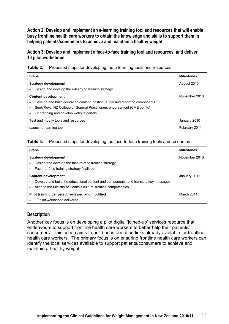**Action 2: Develop and implement an e-learning training tool and resources that will enable busy frontline health care workers to obtain the knowledge and skills to support them in helping patients/consumers to achieve and maintain a healthy weight** 

**Action 3: Develop and implement a face-to-face training tool and resources, and deliver 10 pilot workshops** 

<span id="page-14-0"></span>

|  | <b>Table 2:</b> Proposed steps for developing the e-learning tools and resources |  |  |  |
|--|----------------------------------------------------------------------------------|--|--|--|
|--|----------------------------------------------------------------------------------|--|--|--|

|                                     | <b>Steps</b>                                                                 |  |  |  |  |
|-------------------------------------|------------------------------------------------------------------------------|--|--|--|--|
| <b>Strategy development</b>         | August 2010                                                                  |  |  |  |  |
|                                     | Design and develop the e-learning training strategy                          |  |  |  |  |
|                                     | <b>Content development</b>                                                   |  |  |  |  |
|                                     | Develop and build education content, hosting, audio and reporting components |  |  |  |  |
|                                     | Seek Royal NZ College of General Practitioners endorsement (CME points)      |  |  |  |  |
| $\bullet$                           | Fit branding and develop website portals                                     |  |  |  |  |
| Test and modify tools and resources | January 2010                                                                 |  |  |  |  |
| Launch e-learning tool              | February 2011                                                                |  |  |  |  |

#### <span id="page-14-1"></span>**Table 3:** Proposed steps for developing the face-to-face training tools and resources

| <b>Steps</b>                                                                         | <b>Milestones</b> |
|--------------------------------------------------------------------------------------|-------------------|
| <b>Strategy development</b>                                                          | November 2010     |
| Design and develop the face-to-face training strategy                                |                   |
| Face- to-face training strategy finalised                                            |                   |
| <b>Content development</b>                                                           | January 2011      |
| Develop and build the educational content and components, and translate key messages |                   |
| Align to the Ministry of Health's cultural training competencies                     |                   |
| Pilot training delivered, reviewed and modified                                      | March 2011        |
| 10 pilot workshops delivered                                                         |                   |

### **Description**

Another key focus is on developing a pilot digital 'joined-up' services resource that endeavours to support frontline health care workers to better help their patients/ consumers. This action aims to build on information links already available for frontline health care workers. The primary focus is on ensuring frontline health care workers can identify the local services available to support patients/consumers to achieve and maintain a healthy weight.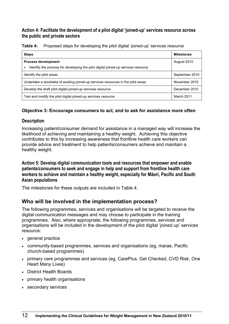### **Action 4: Facilitate the development of a pilot digital 'joined-up' services resource across the public and private sectors**

<span id="page-15-1"></span>**Table 4:** Proposed steps for developing the pilot digital 'joined-up' services resource

| <b>Steps</b>                                                                                   | <b>Milestones</b> |
|------------------------------------------------------------------------------------------------|-------------------|
| <b>Process development</b>                                                                     | August 2010       |
| Identify the process for developing the pilot digital joined-up services resource<br>$\bullet$ |                   |
| Identify the pilot areas                                                                       | September 2010    |
| Undertake a stocktake of existing joined-up services resources in the pilot areas              | November 2010     |
| Develop the draft pilot digital joined-up services resource                                    | December 2010     |
| Test and modify the pilot digital joined-up services resource                                  | March 2011        |

### **Objective 3: Encourage consumers to act, and to ask for assistance more often**

### **Description**

Increasing patient/consumer demand for assistance in a managed way will increase the likelihood of achieving and maintaining a healthy weight. Achieving this objective contributes to this by increasing awareness that frontline health care workers can provide advice and treatment to help patients/consumers achieve and maintain a healthy weight.

**Action 5: Develop digital communication tools and resources that empower and enable patients/consumers to seek and engage in help and support from frontline health care workers to achieve and maintain a healthy weight, especially for Māori, Pacific and South Asian populations** 

The milestones for these outputs are included in Table 4.

## <span id="page-15-0"></span>**Who will be involved in the implementation process?**

The following programmes, services and organisations will be targeted to receive the digital communication messages and may choose to participate in the training programmes. Also, where appropriate, the following programmes, services and organisations will be included in the development of the pilot digital 'joined up' services resource:

- general practice
- community-based programmes, services and organisations (eg, marae, Pacific church-based programmes)
- primary care programmes and services (eg, CarePlus, Get Checked, CVD Risk, One Heart Many Lives)
- District Health Boards
- primary health organisations
- secondary services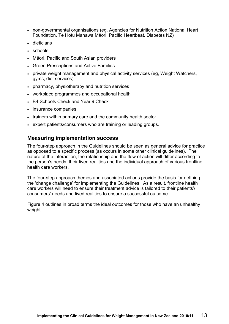- non-governmental organisations (eg, Agencies for Nutrition Action National Heart Foundation, Te Hotu Manawa Māori, Pacific Heartbeat, Diabetes NZ)
- dieticians
- schools
- Māori, Pacific and South Asian providers
- Green Prescriptions and Active Families
- private weight management and physical activity services (eg, Weight Watchers, gyms, diet services)
- pharmacy, physiotherapy and nutrition services
- workplace programmes and occupational health
- B4 Schools Check and Year 9 Check
- insurance companies
- trainers within primary care and the community health sector
- expert patients/consumers who are training or leading groups.

### <span id="page-16-0"></span>**Measuring implementation success**

The four-step approach in the Guidelines should be seen as general advice for practice as opposed to a specific process (as occurs in some other clinical guidelines). The nature of the interaction, the relationship and the flow of action will differ according to the person's needs, their lived realities and the individual approach of various frontline health care workers.

The four-step approach themes and associated actions provide the basis for defining the 'change challenge' for implementing the Guidelines. As a result, frontline health care workers will need to ensure their treatment advice is tailored to their patients'/ consumers' needs and lived realities to ensure a successful outcome.

Figure 4 outlines in broad terms the ideal outcomes for those who have an unhealthy weight.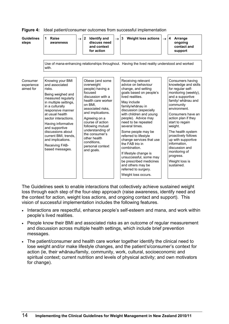| <b>Guidelines</b><br>steps          | Raise<br>1<br>awareness                                                                                                                                                                                                                                                                                                                            | $\rightarrow$ 2 | <b>Identify and</b><br>discuss need<br>and context<br>for action                                                                                                                                                                                                                                                             | $\rightarrow$ | <b>Weight loss actions</b><br>3                                                                                                                                                                                                                                                                                                                                                                                                                                                                                                          | $\rightarrow$ | $\overline{4}$<br>Arrange<br>ongoing<br>contact and<br>support                                                                                                                                                                                                                                                                                                                                           |
|-------------------------------------|----------------------------------------------------------------------------------------------------------------------------------------------------------------------------------------------------------------------------------------------------------------------------------------------------------------------------------------------------|-----------------|------------------------------------------------------------------------------------------------------------------------------------------------------------------------------------------------------------------------------------------------------------------------------------------------------------------------------|---------------|------------------------------------------------------------------------------------------------------------------------------------------------------------------------------------------------------------------------------------------------------------------------------------------------------------------------------------------------------------------------------------------------------------------------------------------------------------------------------------------------------------------------------------------|---------------|----------------------------------------------------------------------------------------------------------------------------------------------------------------------------------------------------------------------------------------------------------------------------------------------------------------------------------------------------------------------------------------------------------|
|                                     | with.                                                                                                                                                                                                                                                                                                                                              |                 |                                                                                                                                                                                                                                                                                                                              |               | Use of mana-enhancing relationships throughout. Having the lived reality understood and worked                                                                                                                                                                                                                                                                                                                                                                                                                                           |               |                                                                                                                                                                                                                                                                                                                                                                                                          |
| Consumer<br>experience<br>aimed for | Knowing your BMI<br>and associated<br>risks.<br>Being weighed and<br>measured regularly<br>in multiple settings,<br>in a culturally<br>responsive manner<br>at usual health<br>sector interactions.<br>Having informative<br>and supportive<br>discussions about<br>current BMI, trends,<br>and implications.<br>Receiving FAB-<br>based messages. |                 | Obese (and some<br>overweight<br>people) having a<br>focused<br>discussion with a<br>health care worker<br>on BMI.<br>associated risks,<br>and implications.<br>Agreeing on a<br>course of action<br>following mutual<br>understanding of<br>the consumer's<br>other health<br>conditions.<br>personal context<br>and goals. |               | Receiving relevant<br>advice on behaviour<br>change, and setting<br>goals based on people's<br>lived realities.<br>May include<br>family/whānau in<br>discussion (especially<br>with children and young<br>people). Advice may<br>need to be repeated<br>several times.<br>Some people may be<br>referred to lifestyle<br>change services that use<br>the FAB trio in<br>combination.<br>If lifestyle change is<br>unsuccessful, some may<br>be prescribed medicines<br>and others may be<br>referred to surgery.<br>Weight loss occurs. |               | Consumers having<br>knowledge and skills<br>for regular self-<br>monitoring (weekly),<br>and a supportive<br>family/ whānau and<br>community<br>environment.<br>Consumers have an<br>action plan if they<br>start to regain<br>weight.<br>The health system<br>proactively follows<br>up with supportive<br>information.<br>discussion and<br>monitoring of<br>progress.<br>Weight loss is<br>sustained. |

<span id="page-17-0"></span>**Figure 4:** Ideal patient/consumer outcomes from successful implementation

The Guidelines seek to enable interactions that collectively achieve sustained weight loss through each step of the four-step approach (raise awareness, identify need and the context for action, weight loss actions, and ongoing contact and support). This vision of successful implementation includes the following features.

- Interactions are respectful, enhance people's self-esteem and mana, and work within people's lived realities.
- People know their BMI and associated risks as an outcome of regular measurement and discussion across multiple health settings, which include brief prevention messages.
- The patient/consumer and health care worker together identify the clinical need to lose weight and/or make lifestyle changes, and the patient's/consumer's context for action (ie, their whānau/family, community, work, cultural, socioeconomic and spiritual context; current nutrition and levels of physical activity; and own motivators for change).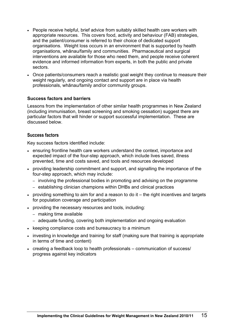- People receive helpful, brief advice from suitably skilled health care workers with appropriate resources. This covers food, activity and behaviour (FAB) strategies, and the patient/consumer is referred to their choice of dedicated support organisations. Weight loss occurs in an environment that is supported by health organisations, whānau/family and communities. Pharmaceutical and surgical interventions are available for those who need them, and people receive coherent evidence and informed information from experts, in both the public and private sectors.
- Once patients/consumers reach a realistic goal weight they continue to measure their weight regularly, and ongoing contact and support are in place via health professionals, whānau/family and/or community groups.

### **Success factors and barriers**

Lessons from the implementation of other similar health programmes in New Zealand (including immunisation, breast screening and smoking cessation) suggest there are particular factors that will hinder or support successful implementation. These are discussed below.

#### **Success factors**

Key success factors identified include:

- ensuring frontline health care workers understand the context, importance and expected impact of the four-step approach, which include lives saved, illness prevented, time and costs saved, and tools and resources developed
- providing leadership commitment and support, and signalling the importance of the four-step approach, which may include:
	- involving the professional bodies in promoting and advising on the programme
	- establishing clinician champions within DHBs and clinical practices
- providing something to aim for and a reason to do it the right incentives and targets for population coverage and participation
- providing the necessary resources and tools, including:
	- making time available
	- adequate funding, covering both implementation and ongoing evaluation
- keeping compliance costs and bureaucracy to a minimum
- investing in knowledge and training for staff (making sure that training is appropriate in terms of time and content)
- creating a feedback loop to health professionals communication of success/ progress against key indicators